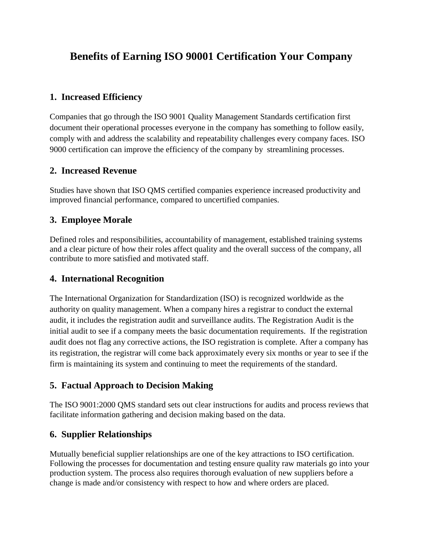# **Benefits of Earning ISO 90001 Certification Your Company**

## **1. Increased Efficiency**

Companies that go through the ISO 9001 Quality Management Standards certification first document their operational processes everyone in the company has something to follow easily, comply with and address the scalability and repeatability challenges every company faces. ISO 9000 certification can improve the efficiency of the company by streamlining processes.

### **2. Increased Revenue**

Studies have shown that ISO QMS certified companies experience increased productivity and improved financial performance, compared to uncertified companies.

## **3. Employee Morale**

Defined roles and responsibilities, accountability of management, established training systems and a clear picture of how their roles affect quality and the overall success of the company, all contribute to more satisfied and motivated staff.

### **4. International Recognition**

The International Organization for Standardization (ISO) is recognized worldwide as the authority on quality management. When a company hires a registrar to conduct the external audit, it includes the registration audit and surveillance audits. The Registration Audit is the initial audit to see if a company meets the basic documentation requirements. If the registration audit does not flag any corrective actions, the ISO registration is complete. After a company has its registration, the registrar will come back approximately every six months or year to see if the firm is maintaining its system and continuing to meet the requirements of the standard.

### **5. Factual Approach to Decision Making**

The ISO 9001:2000 QMS standard sets out clear instructions for audits and process reviews that facilitate information gathering and decision making based on the data.

### **6. Supplier Relationships**

Mutually beneficial supplier relationships are one of the key attractions to ISO certification. Following the processes for documentation and testing ensure quality raw materials go into your production system. The process also requires thorough evaluation of new suppliers before a change is made and/or consistency with respect to how and where orders are placed.